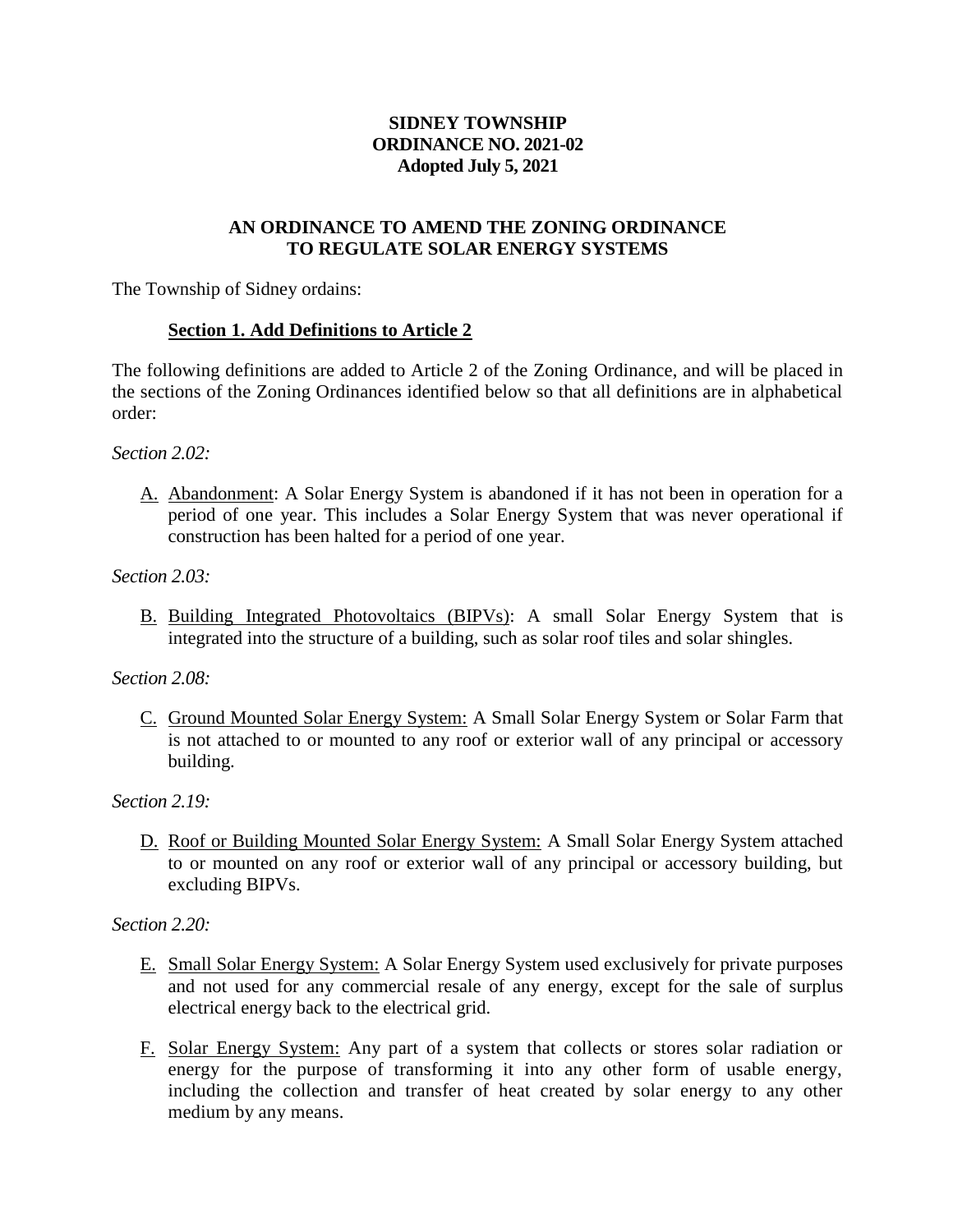# **SIDNEY TOWNSHIP ORDINANCE NO. 2021-02 Adopted July 5, 2021**

### **AN ORDINANCE TO AMEND THE ZONING ORDINANCE TO REGULATE SOLAR ENERGY SYSTEMS**

The Township of Sidney ordains:

### **Section 1. Add Definitions to Article 2**

The following definitions are added to Article 2 of the Zoning Ordinance, and will be placed in the sections of the Zoning Ordinances identified below so that all definitions are in alphabetical order:

#### *Section 2.02:*

A. Abandonment: A Solar Energy System is abandoned if it has not been in operation for a period of one year. This includes a Solar Energy System that was never operational if construction has been halted for a period of one year.

#### *Section 2.03:*

B. Building Integrated Photovoltaics (BIPVs): A small Solar Energy System that is integrated into the structure of a building, such as solar roof tiles and solar shingles.

#### *Section 2.08:*

C. Ground Mounted Solar Energy System: A Small Solar Energy System or Solar Farm that is not attached to or mounted to any roof or exterior wall of any principal or accessory building.

*Section 2.19:*

D. Roof or Building Mounted Solar Energy System: A Small Solar Energy System attached to or mounted on any roof or exterior wall of any principal or accessory building, but excluding BIPVs.

*Section 2.20:*

- E. Small Solar Energy System: A Solar Energy System used exclusively for private purposes and not used for any commercial resale of any energy, except for the sale of surplus electrical energy back to the electrical grid.
- F. Solar Energy System: Any part of a system that collects or stores solar radiation or energy for the purpose of transforming it into any other form of usable energy, including the collection and transfer of heat created by solar energy to any other medium by any means.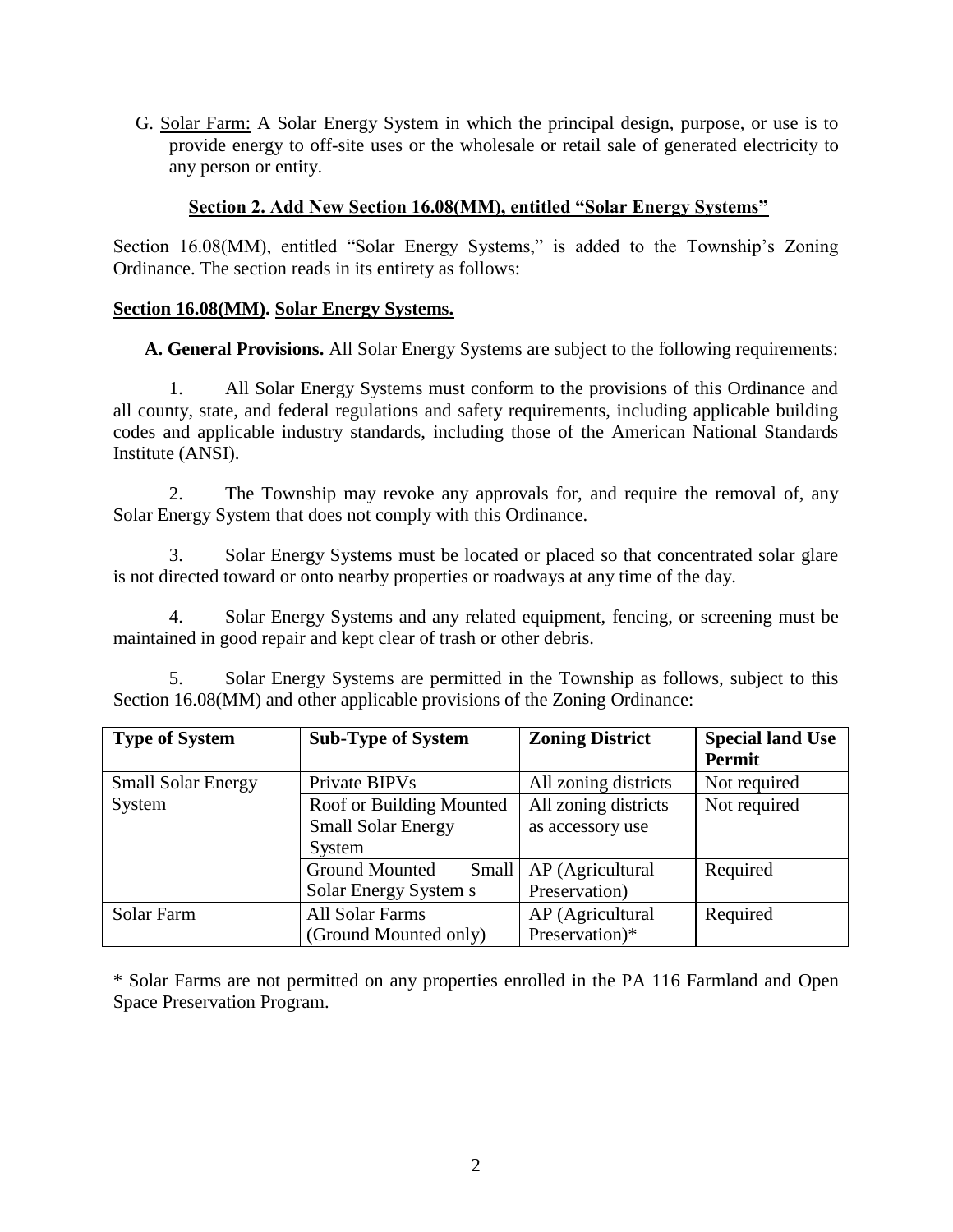G. Solar Farm: A Solar Energy System in which the principal design, purpose, or use is to provide energy to off-site uses or the wholesale or retail sale of generated electricity to any person or entity.

### **Section 2. Add New Section 16.08(MM), entitled "Solar Energy Systems"**

Section 16.08(MM), entitled "Solar Energy Systems," is added to the Township's Zoning Ordinance. The section reads in its entirety as follows:

### **Section 16.08(MM). Solar Energy Systems.**

**A. General Provisions.** All Solar Energy Systems are subject to the following requirements:

1. All Solar Energy Systems must conform to the provisions of this Ordinance and all county, state, and federal regulations and safety requirements, including applicable building codes and applicable industry standards, including those of the American National Standards Institute (ANSI).

2. The Township may revoke any approvals for, and require the removal of, any Solar Energy System that does not comply with this Ordinance.

3. Solar Energy Systems must be located or placed so that concentrated solar glare is not directed toward or onto nearby properties or roadways at any time of the day.

4. Solar Energy Systems and any related equipment, fencing, or screening must be maintained in good repair and kept clear of trash or other debris.

5. Solar Energy Systems are permitted in the Township as follows, subject to this Section 16.08(MM) and other applicable provisions of the Zoning Ordinance:

| <b>Type of System</b>     | <b>Sub-Type of System</b> | <b>Zoning District</b> | <b>Special land Use</b><br><b>Permit</b> |
|---------------------------|---------------------------|------------------------|------------------------------------------|
| <b>Small Solar Energy</b> | Private BIPVs             | All zoning districts   | Not required                             |
| System                    | Roof or Building Mounted  | All zoning districts   | Not required                             |
|                           | <b>Small Solar Energy</b> | as accessory use       |                                          |
|                           | System                    |                        |                                          |
|                           | Ground Mounted<br>Small   | AP (Agricultural       | Required                                 |
|                           | Solar Energy System s     | Preservation)          |                                          |
| Solar Farm                | <b>All Solar Farms</b>    | AP (Agricultural       | Required                                 |
|                           | (Ground Mounted only)     | Preservation)*         |                                          |

\* Solar Farms are not permitted on any properties enrolled in the PA 116 Farmland and Open Space Preservation Program.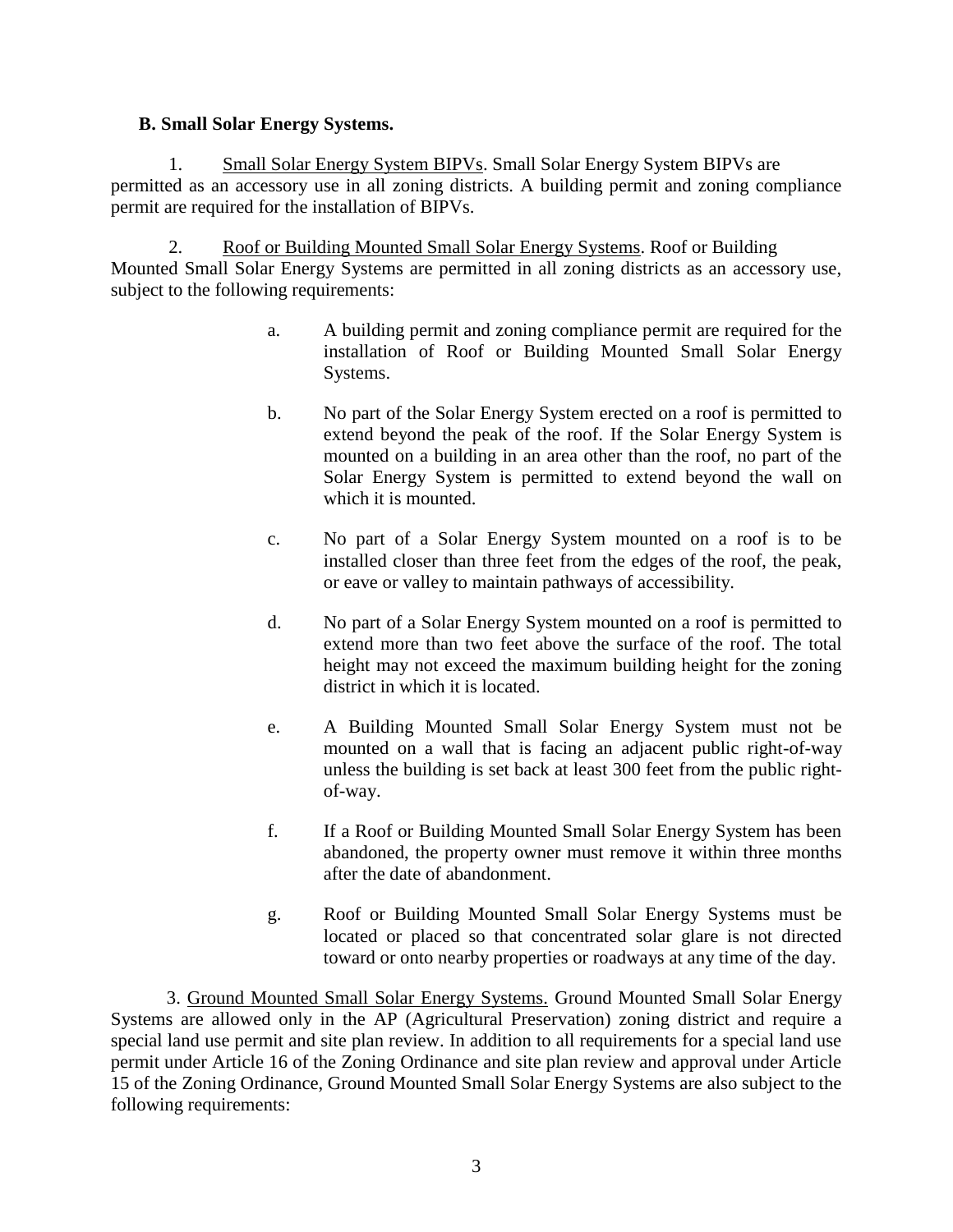### **B. Small Solar Energy Systems.**

1. Small Solar Energy System BIPVs. Small Solar Energy System BIPVs are permitted as an accessory use in all zoning districts. A building permit and zoning compliance permit are required for the installation of BIPVs.

2. Roof or Building Mounted Small Solar Energy Systems. Roof or Building Mounted Small Solar Energy Systems are permitted in all zoning districts as an accessory use, subject to the following requirements:

- a. A building permit and zoning compliance permit are required for the installation of Roof or Building Mounted Small Solar Energy Systems.
- b. No part of the Solar Energy System erected on a roof is permitted to extend beyond the peak of the roof. If the Solar Energy System is mounted on a building in an area other than the roof, no part of the Solar Energy System is permitted to extend beyond the wall on which it is mounted.
- c. No part of a Solar Energy System mounted on a roof is to be installed closer than three feet from the edges of the roof, the peak, or eave or valley to maintain pathways of accessibility.
- d. No part of a Solar Energy System mounted on a roof is permitted to extend more than two feet above the surface of the roof. The total height may not exceed the maximum building height for the zoning district in which it is located.
- e. A Building Mounted Small Solar Energy System must not be mounted on a wall that is facing an adjacent public right-of-way unless the building is set back at least 300 feet from the public rightof-way.
- f. If a Roof or Building Mounted Small Solar Energy System has been abandoned, the property owner must remove it within three months after the date of abandonment.
- g. Roof or Building Mounted Small Solar Energy Systems must be located or placed so that concentrated solar glare is not directed toward or onto nearby properties or roadways at any time of the day.

3. Ground Mounted Small Solar Energy Systems. Ground Mounted Small Solar Energy Systems are allowed only in the AP (Agricultural Preservation) zoning district and require a special land use permit and site plan review. In addition to all requirements for a special land use permit under Article 16 of the Zoning Ordinance and site plan review and approval under Article 15 of the Zoning Ordinance, Ground Mounted Small Solar Energy Systems are also subject to the following requirements: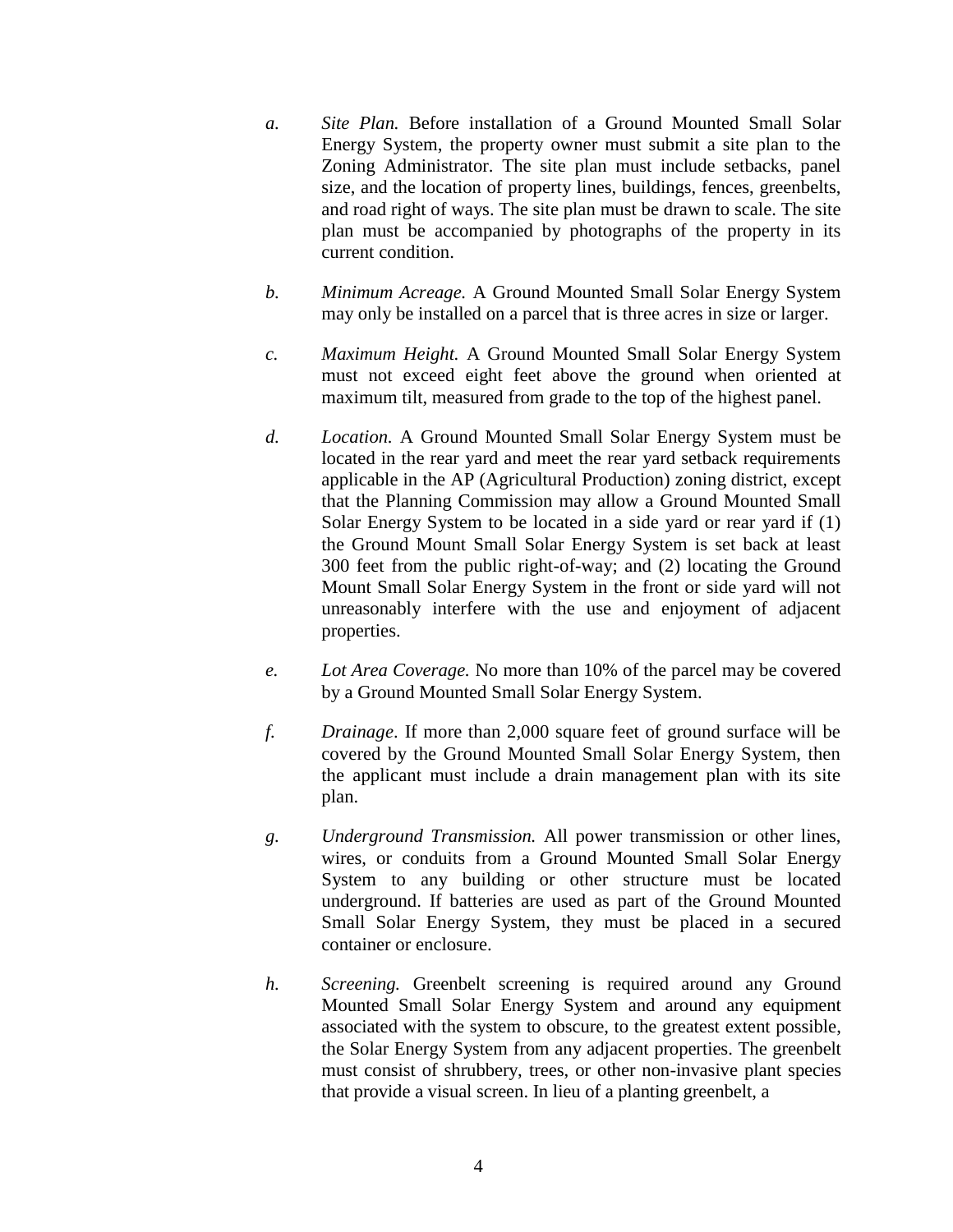- *a. Site Plan.* Before installation of a Ground Mounted Small Solar Energy System, the property owner must submit a site plan to the Zoning Administrator. The site plan must include setbacks, panel size, and the location of property lines, buildings, fences, greenbelts, and road right of ways. The site plan must be drawn to scale. The site plan must be accompanied by photographs of the property in its current condition.
- *b. Minimum Acreage.* A Ground Mounted Small Solar Energy System may only be installed on a parcel that is three acres in size or larger.
- *c. Maximum Height.* A Ground Mounted Small Solar Energy System must not exceed eight feet above the ground when oriented at maximum tilt, measured from grade to the top of the highest panel.
- *d. Location.* A Ground Mounted Small Solar Energy System must be located in the rear yard and meet the rear yard setback requirements applicable in the AP (Agricultural Production) zoning district, except that the Planning Commission may allow a Ground Mounted Small Solar Energy System to be located in a side yard or rear yard if (1) the Ground Mount Small Solar Energy System is set back at least 300 feet from the public right-of-way; and (2) locating the Ground Mount Small Solar Energy System in the front or side yard will not unreasonably interfere with the use and enjoyment of adjacent properties.
- *e. Lot Area Coverage.* No more than 10% of the parcel may be covered by a Ground Mounted Small Solar Energy System.
- *f. Drainage*. If more than 2,000 square feet of ground surface will be covered by the Ground Mounted Small Solar Energy System, then the applicant must include a drain management plan with its site plan.
- *g. Underground Transmission.* All power transmission or other lines, wires, or conduits from a Ground Mounted Small Solar Energy System to any building or other structure must be located underground. If batteries are used as part of the Ground Mounted Small Solar Energy System, they must be placed in a secured container or enclosure.
- *h. Screening.* Greenbelt screening is required around any Ground Mounted Small Solar Energy System and around any equipment associated with the system to obscure, to the greatest extent possible, the Solar Energy System from any adjacent properties. The greenbelt must consist of shrubbery, trees, or other non-invasive plant species that provide a visual screen. In lieu of a planting greenbelt, a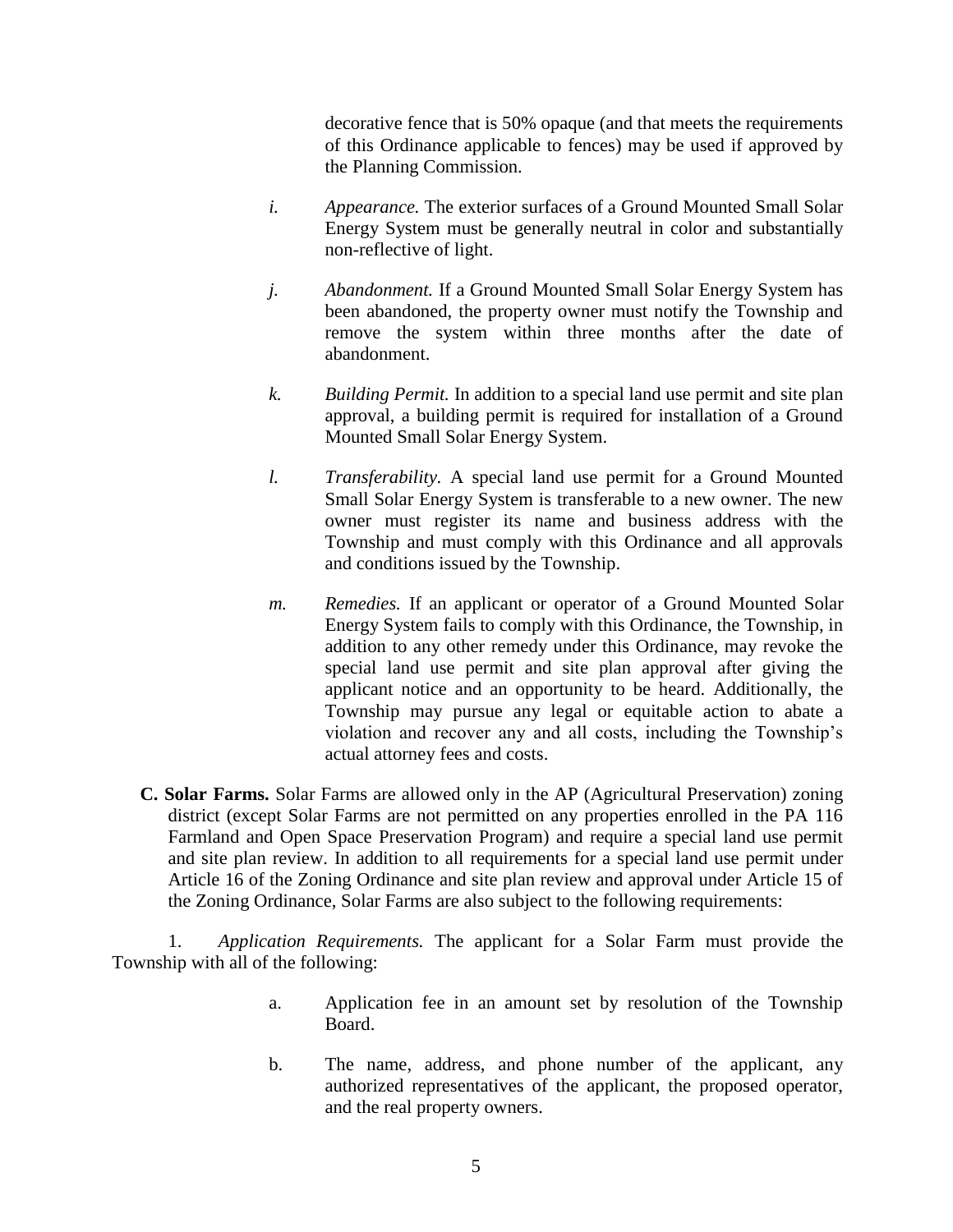decorative fence that is 50% opaque (and that meets the requirements of this Ordinance applicable to fences) may be used if approved by the Planning Commission.

- *i. Appearance.* The exterior surfaces of a Ground Mounted Small Solar Energy System must be generally neutral in color and substantially non-reflective of light.
- *j. Abandonment.* If a Ground Mounted Small Solar Energy System has been abandoned, the property owner must notify the Township and remove the system within three months after the date of abandonment.
- *k. Building Permit.* In addition to a special land use permit and site plan approval, a building permit is required for installation of a Ground Mounted Small Solar Energy System.
- *l. Transferability.* A special land use permit for a Ground Mounted Small Solar Energy System is transferable to a new owner. The new owner must register its name and business address with the Township and must comply with this Ordinance and all approvals and conditions issued by the Township.
- *m. Remedies.* If an applicant or operator of a Ground Mounted Solar Energy System fails to comply with this Ordinance, the Township, in addition to any other remedy under this Ordinance, may revoke the special land use permit and site plan approval after giving the applicant notice and an opportunity to be heard. Additionally, the Township may pursue any legal or equitable action to abate a violation and recover any and all costs, including the Township's actual attorney fees and costs.
- **C. Solar Farms.** Solar Farms are allowed only in the AP (Agricultural Preservation) zoning district (except Solar Farms are not permitted on any properties enrolled in the PA 116 Farmland and Open Space Preservation Program) and require a special land use permit and site plan review. In addition to all requirements for a special land use permit under Article 16 of the Zoning Ordinance and site plan review and approval under Article 15 of the Zoning Ordinance, Solar Farms are also subject to the following requirements:

1. *Application Requirements.* The applicant for a Solar Farm must provide the Township with all of the following:

- a. Application fee in an amount set by resolution of the Township Board.
- b. The name, address, and phone number of the applicant, any authorized representatives of the applicant, the proposed operator, and the real property owners.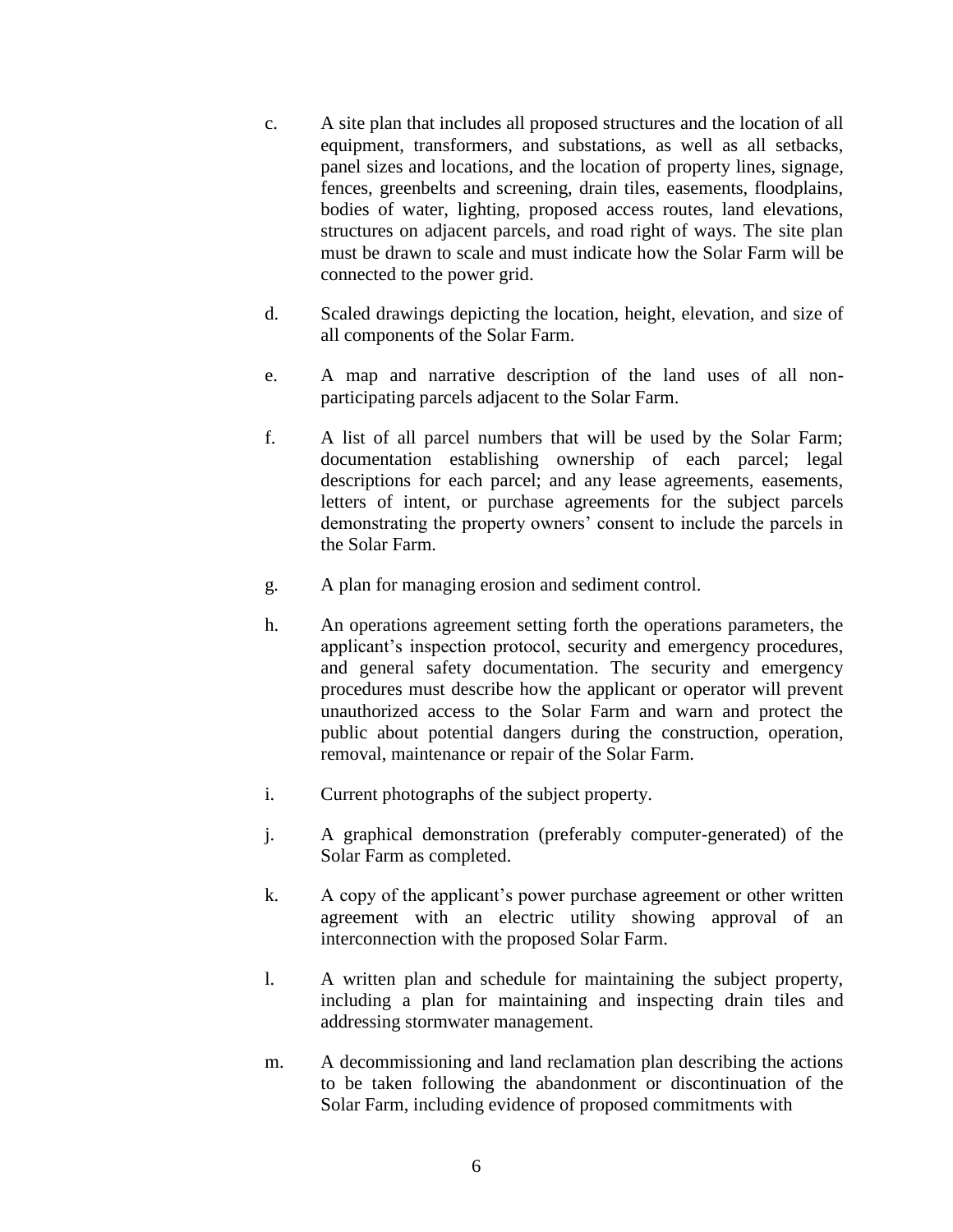- c. A site plan that includes all proposed structures and the location of all equipment, transformers, and substations, as well as all setbacks, panel sizes and locations, and the location of property lines, signage, fences, greenbelts and screening, drain tiles, easements, floodplains, bodies of water, lighting, proposed access routes, land elevations, structures on adjacent parcels, and road right of ways. The site plan must be drawn to scale and must indicate how the Solar Farm will be connected to the power grid.
- d. Scaled drawings depicting the location, height, elevation, and size of all components of the Solar Farm.
- e. A map and narrative description of the land uses of all nonparticipating parcels adjacent to the Solar Farm.
- f. A list of all parcel numbers that will be used by the Solar Farm; documentation establishing ownership of each parcel; legal descriptions for each parcel; and any lease agreements, easements, letters of intent, or purchase agreements for the subject parcels demonstrating the property owners' consent to include the parcels in the Solar Farm.
- g. A plan for managing erosion and sediment control.
- h. An operations agreement setting forth the operations parameters, the applicant's inspection protocol, security and emergency procedures, and general safety documentation. The security and emergency procedures must describe how the applicant or operator will prevent unauthorized access to the Solar Farm and warn and protect the public about potential dangers during the construction, operation, removal, maintenance or repair of the Solar Farm.
- i. Current photographs of the subject property.
- j. A graphical demonstration (preferably computer-generated) of the Solar Farm as completed.
- k. A copy of the applicant's power purchase agreement or other written agreement with an electric utility showing approval of an interconnection with the proposed Solar Farm.
- l. A written plan and schedule for maintaining the subject property, including a plan for maintaining and inspecting drain tiles and addressing stormwater management.
- m. A decommissioning and land reclamation plan describing the actions to be taken following the abandonment or discontinuation of the Solar Farm, including evidence of proposed commitments with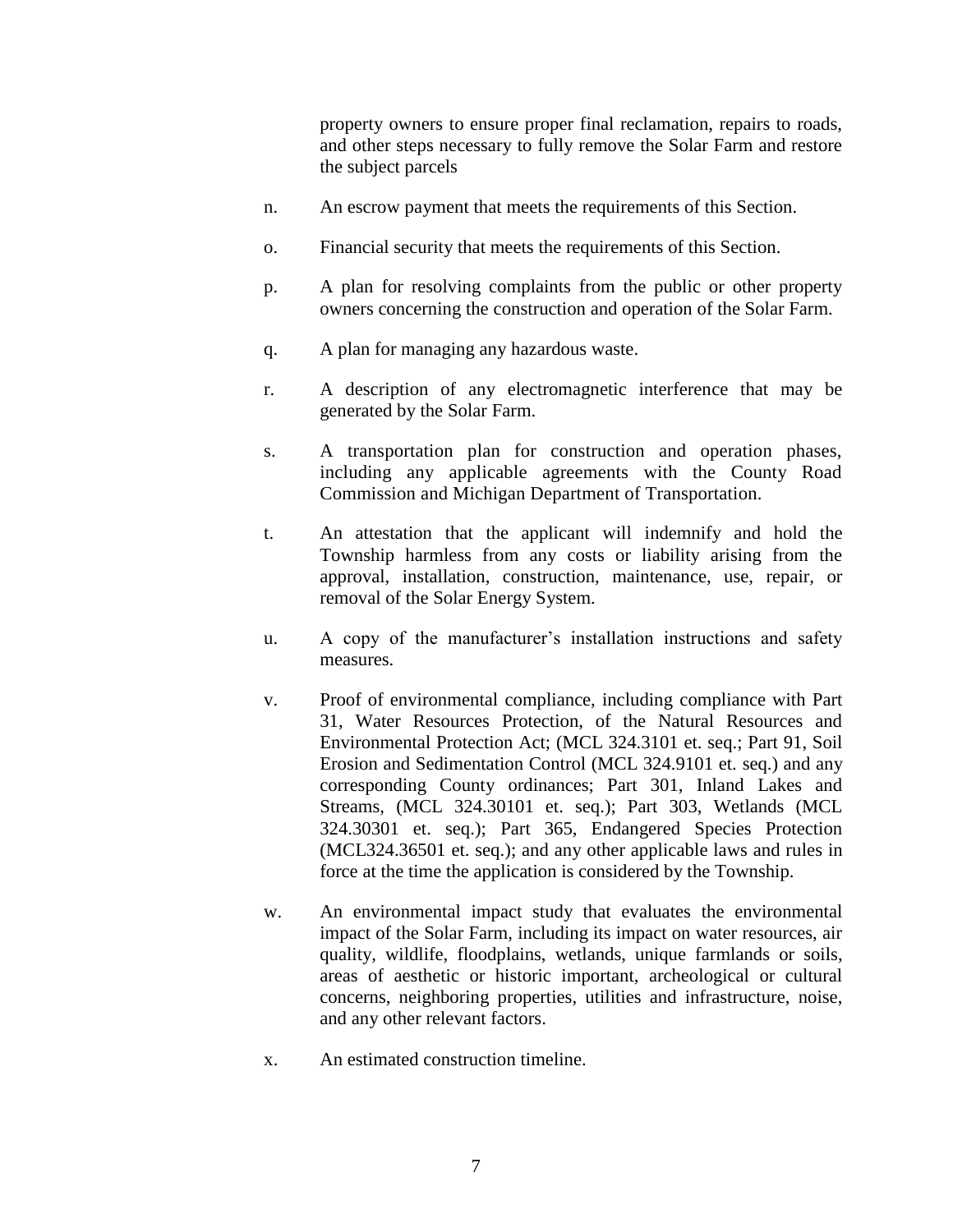property owners to ensure proper final reclamation, repairs to roads, and other steps necessary to fully remove the Solar Farm and restore the subject parcels

- n. An escrow payment that meets the requirements of this Section.
- o. Financial security that meets the requirements of this Section.
- p. A plan for resolving complaints from the public or other property owners concerning the construction and operation of the Solar Farm.
- q. A plan for managing any hazardous waste.
- r. A description of any electromagnetic interference that may be generated by the Solar Farm.
- s. A transportation plan for construction and operation phases, including any applicable agreements with the County Road Commission and Michigan Department of Transportation.
- t. An attestation that the applicant will indemnify and hold the Township harmless from any costs or liability arising from the approval, installation, construction, maintenance, use, repair, or removal of the Solar Energy System.
- u. A copy of the manufacturer's installation instructions and safety measures.
- v. Proof of environmental compliance, including compliance with Part 31, Water Resources Protection, of the Natural Resources and Environmental Protection Act; (MCL 324.3101 et. seq.; Part 91, Soil Erosion and Sedimentation Control (MCL 324.9101 et. seq.) and any corresponding County ordinances; Part 301, Inland Lakes and Streams, (MCL 324.30101 et. seq.); Part 303, Wetlands (MCL 324.30301 et. seq.); Part 365, Endangered Species Protection (MCL324.36501 et. seq.); and any other applicable laws and rules in force at the time the application is considered by the Township.
- w. An environmental impact study that evaluates the environmental impact of the Solar Farm, including its impact on water resources, air quality, wildlife, floodplains, wetlands, unique farmlands or soils, areas of aesthetic or historic important, archeological or cultural concerns, neighboring properties, utilities and infrastructure, noise, and any other relevant factors.
- x. An estimated construction timeline.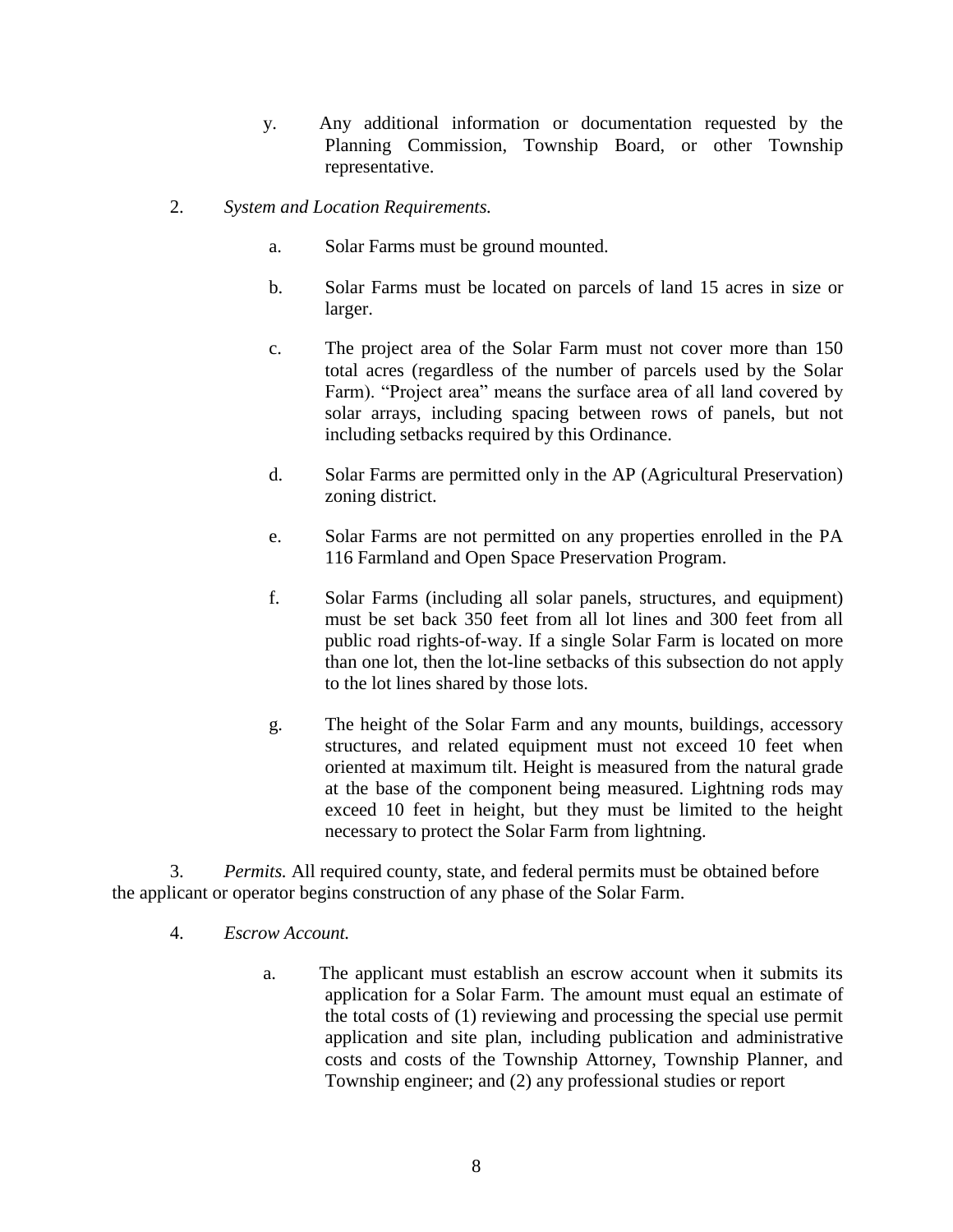- y. Any additional information or documentation requested by the Planning Commission, Township Board, or other Township representative.
- 2. *System and Location Requirements.*
	- a. Solar Farms must be ground mounted.
	- b. Solar Farms must be located on parcels of land 15 acres in size or larger.
	- c. The project area of the Solar Farm must not cover more than 150 total acres (regardless of the number of parcels used by the Solar Farm). "Project area" means the surface area of all land covered by solar arrays, including spacing between rows of panels, but not including setbacks required by this Ordinance.
	- d. Solar Farms are permitted only in the AP (Agricultural Preservation) zoning district.
	- e. Solar Farms are not permitted on any properties enrolled in the PA 116 Farmland and Open Space Preservation Program.
	- f. Solar Farms (including all solar panels, structures, and equipment) must be set back 350 feet from all lot lines and 300 feet from all public road rights-of-way. If a single Solar Farm is located on more than one lot, then the lot-line setbacks of this subsection do not apply to the lot lines shared by those lots.
	- g. The height of the Solar Farm and any mounts, buildings, accessory structures, and related equipment must not exceed 10 feet when oriented at maximum tilt. Height is measured from the natural grade at the base of the component being measured. Lightning rods may exceed 10 feet in height, but they must be limited to the height necessary to protect the Solar Farm from lightning.

3. *Permits.* All required county, state, and federal permits must be obtained before the applicant or operator begins construction of any phase of the Solar Farm.

- 4. *Escrow Account.*
	- a. The applicant must establish an escrow account when it submits its application for a Solar Farm. The amount must equal an estimate of the total costs of (1) reviewing and processing the special use permit application and site plan, including publication and administrative costs and costs of the Township Attorney, Township Planner, and Township engineer; and (2) any professional studies or report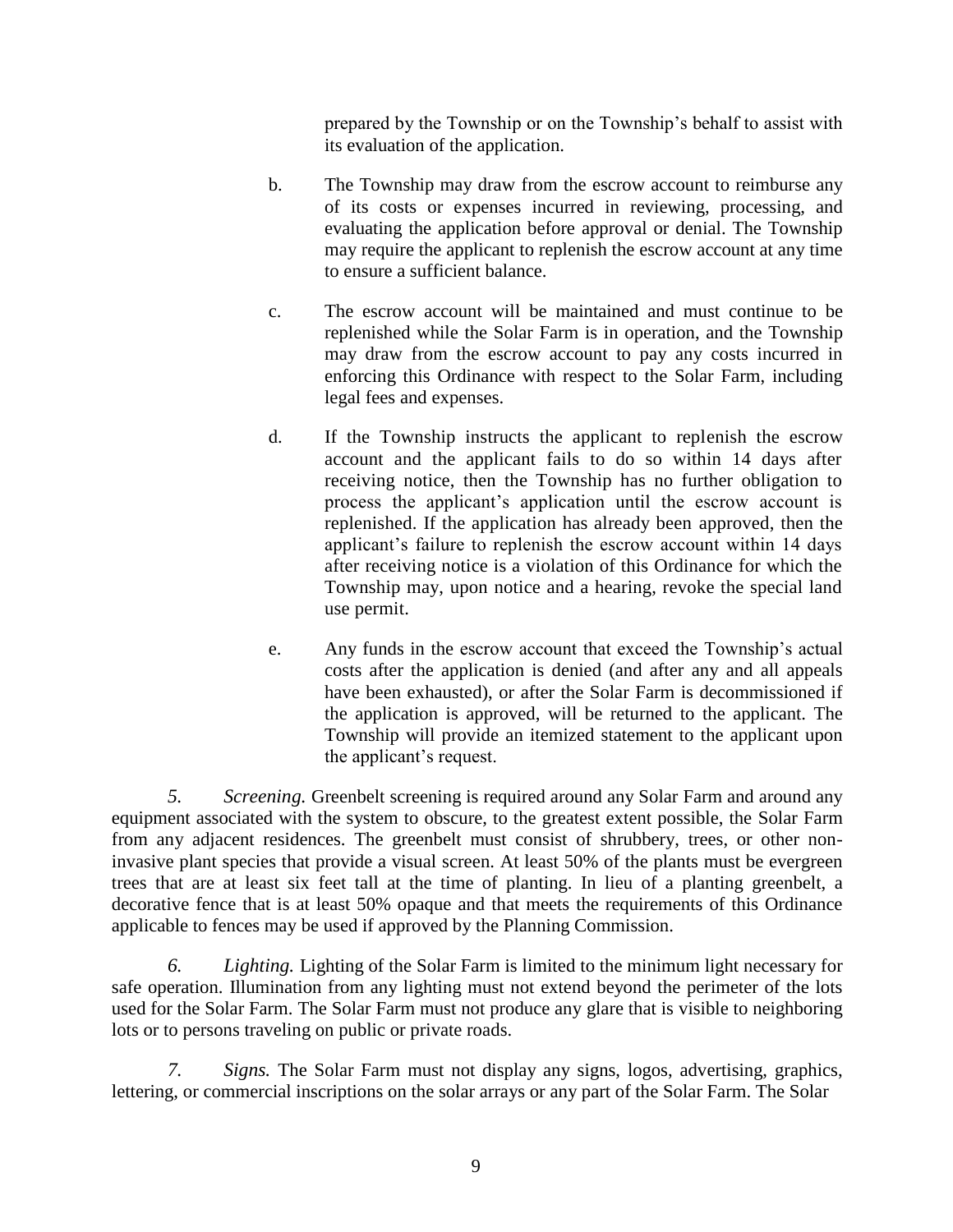prepared by the Township or on the Township's behalf to assist with its evaluation of the application.

- b. The Township may draw from the escrow account to reimburse any of its costs or expenses incurred in reviewing, processing, and evaluating the application before approval or denial. The Township may require the applicant to replenish the escrow account at any time to ensure a sufficient balance.
- c. The escrow account will be maintained and must continue to be replenished while the Solar Farm is in operation, and the Township may draw from the escrow account to pay any costs incurred in enforcing this Ordinance with respect to the Solar Farm, including legal fees and expenses.
- d. If the Township instructs the applicant to replenish the escrow account and the applicant fails to do so within 14 days after receiving notice, then the Township has no further obligation to process the applicant's application until the escrow account is replenished. If the application has already been approved, then the applicant's failure to replenish the escrow account within 14 days after receiving notice is a violation of this Ordinance for which the Township may, upon notice and a hearing, revoke the special land use permit.
- e. Any funds in the escrow account that exceed the Township's actual costs after the application is denied (and after any and all appeals have been exhausted), or after the Solar Farm is decommissioned if the application is approved, will be returned to the applicant. The Township will provide an itemized statement to the applicant upon the applicant's request.

*5. Screening.* Greenbelt screening is required around any Solar Farm and around any equipment associated with the system to obscure, to the greatest extent possible, the Solar Farm from any adjacent residences. The greenbelt must consist of shrubbery, trees, or other noninvasive plant species that provide a visual screen. At least 50% of the plants must be evergreen trees that are at least six feet tall at the time of planting. In lieu of a planting greenbelt, a decorative fence that is at least 50% opaque and that meets the requirements of this Ordinance applicable to fences may be used if approved by the Planning Commission.

*6. Lighting.* Lighting of the Solar Farm is limited to the minimum light necessary for safe operation. Illumination from any lighting must not extend beyond the perimeter of the lots used for the Solar Farm. The Solar Farm must not produce any glare that is visible to neighboring lots or to persons traveling on public or private roads.

*7. Signs.* The Solar Farm must not display any signs, logos, advertising, graphics, lettering, or commercial inscriptions on the solar arrays or any part of the Solar Farm. The Solar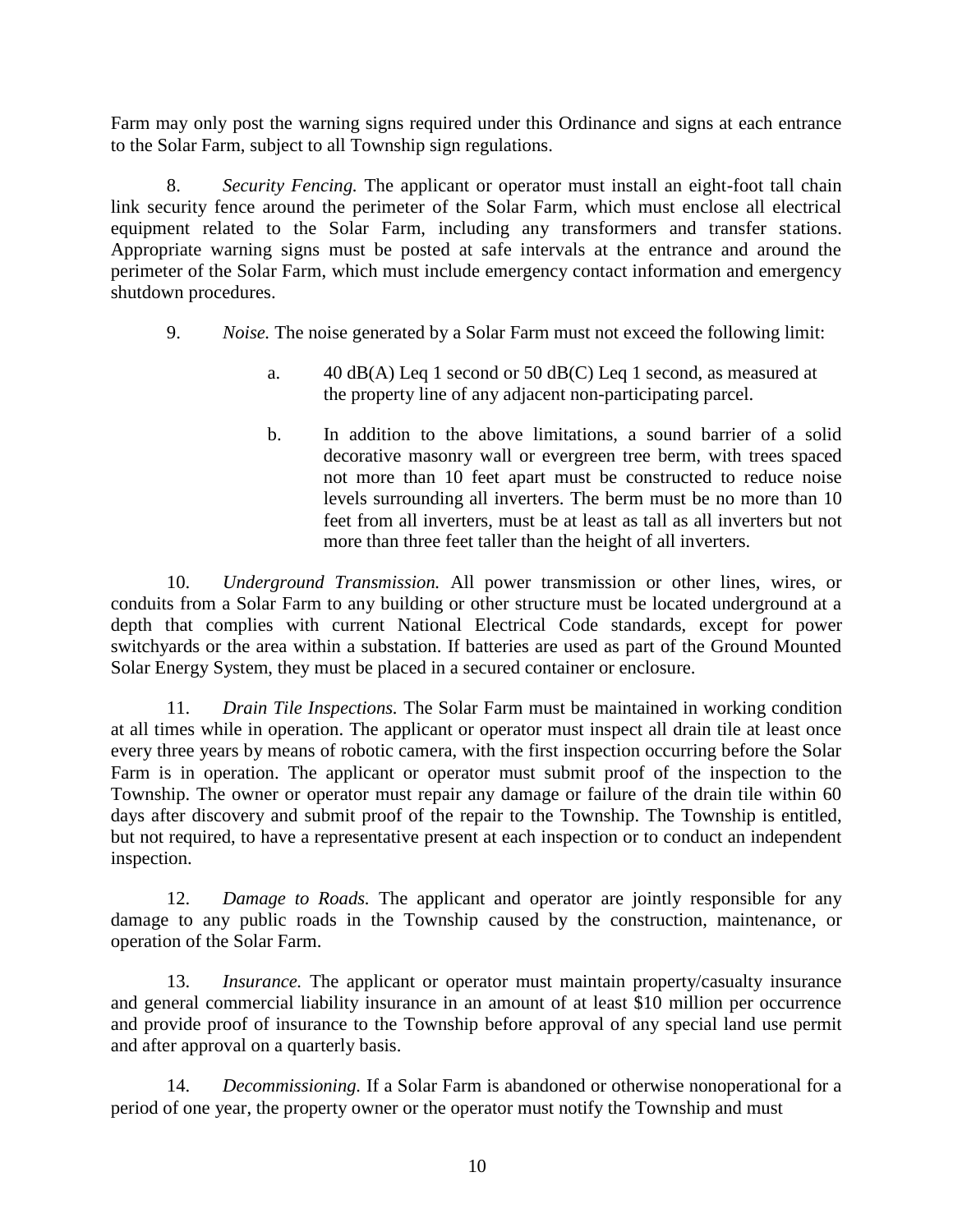Farm may only post the warning signs required under this Ordinance and signs at each entrance to the Solar Farm, subject to all Township sign regulations.

8. *Security Fencing.* The applicant or operator must install an eight-foot tall chain link security fence around the perimeter of the Solar Farm, which must enclose all electrical equipment related to the Solar Farm, including any transformers and transfer stations. Appropriate warning signs must be posted at safe intervals at the entrance and around the perimeter of the Solar Farm, which must include emergency contact information and emergency shutdown procedures.

- 9. *Noise.* The noise generated by a Solar Farm must not exceed the following limit:
	- a. 40 dB(A) Leq 1 second or 50 dB(C) Leq 1 second, as measured at the property line of any adjacent non-participating parcel.
	- b. In addition to the above limitations, a sound barrier of a solid decorative masonry wall or evergreen tree berm, with trees spaced not more than 10 feet apart must be constructed to reduce noise levels surrounding all inverters. The berm must be no more than 10 feet from all inverters, must be at least as tall as all inverters but not more than three feet taller than the height of all inverters.

10. *Underground Transmission.* All power transmission or other lines, wires, or conduits from a Solar Farm to any building or other structure must be located underground at a depth that complies with current National Electrical Code standards, except for power switchyards or the area within a substation. If batteries are used as part of the Ground Mounted Solar Energy System, they must be placed in a secured container or enclosure.

11. *Drain Tile Inspections.* The Solar Farm must be maintained in working condition at all times while in operation. The applicant or operator must inspect all drain tile at least once every three years by means of robotic camera, with the first inspection occurring before the Solar Farm is in operation. The applicant or operator must submit proof of the inspection to the Township. The owner or operator must repair any damage or failure of the drain tile within 60 days after discovery and submit proof of the repair to the Township. The Township is entitled, but not required, to have a representative present at each inspection or to conduct an independent inspection.

12. *Damage to Roads.* The applicant and operator are jointly responsible for any damage to any public roads in the Township caused by the construction, maintenance, or operation of the Solar Farm.

13. *Insurance.* The applicant or operator must maintain property/casualty insurance and general commercial liability insurance in an amount of at least \$10 million per occurrence and provide proof of insurance to the Township before approval of any special land use permit and after approval on a quarterly basis.

14. *Decommissioning.* If a Solar Farm is abandoned or otherwise nonoperational for a period of one year, the property owner or the operator must notify the Township and must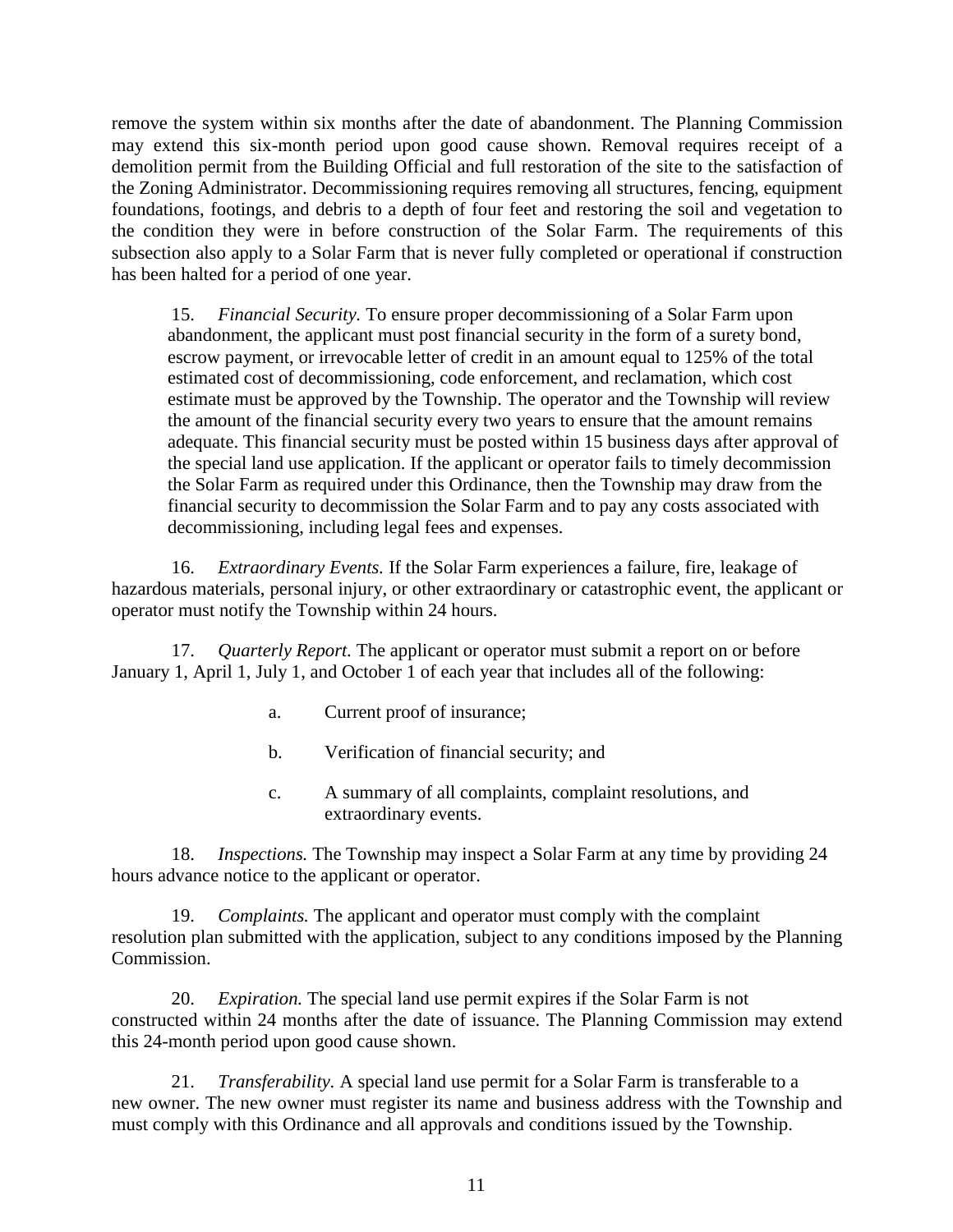remove the system within six months after the date of abandonment. The Planning Commission may extend this six-month period upon good cause shown. Removal requires receipt of a demolition permit from the Building Official and full restoration of the site to the satisfaction of the Zoning Administrator. Decommissioning requires removing all structures, fencing, equipment foundations, footings, and debris to a depth of four feet and restoring the soil and vegetation to the condition they were in before construction of the Solar Farm. The requirements of this subsection also apply to a Solar Farm that is never fully completed or operational if construction has been halted for a period of one year.

15. *Financial Security.* To ensure proper decommissioning of a Solar Farm upon abandonment, the applicant must post financial security in the form of a surety bond, escrow payment, or irrevocable letter of credit in an amount equal to 125% of the total estimated cost of decommissioning, code enforcement, and reclamation, which cost estimate must be approved by the Township. The operator and the Township will review the amount of the financial security every two years to ensure that the amount remains adequate. This financial security must be posted within 15 business days after approval of the special land use application. If the applicant or operator fails to timely decommission the Solar Farm as required under this Ordinance, then the Township may draw from the financial security to decommission the Solar Farm and to pay any costs associated with decommissioning, including legal fees and expenses.

16. *Extraordinary Events.* If the Solar Farm experiences a failure, fire, leakage of hazardous materials, personal injury, or other extraordinary or catastrophic event, the applicant or operator must notify the Township within 24 hours.

17. *Quarterly Report.* The applicant or operator must submit a report on or before January 1, April 1, July 1, and October 1 of each year that includes all of the following:

- a. Current proof of insurance;
- b. Verification of financial security; and
- c. A summary of all complaints, complaint resolutions, and extraordinary events.

18. *Inspections.* The Township may inspect a Solar Farm at any time by providing 24 hours advance notice to the applicant or operator.

*Complaints.* The applicant and operator must comply with the complaint resolution plan submitted with the application, subject to any conditions imposed by the Planning Commission.

20. *Expiration.* The special land use permit expires if the Solar Farm is not constructed within 24 months after the date of issuance. The Planning Commission may extend this 24-month period upon good cause shown.

21. *Transferability.* A special land use permit for a Solar Farm is transferable to a new owner. The new owner must register its name and business address with the Township and must comply with this Ordinance and all approvals and conditions issued by the Township.